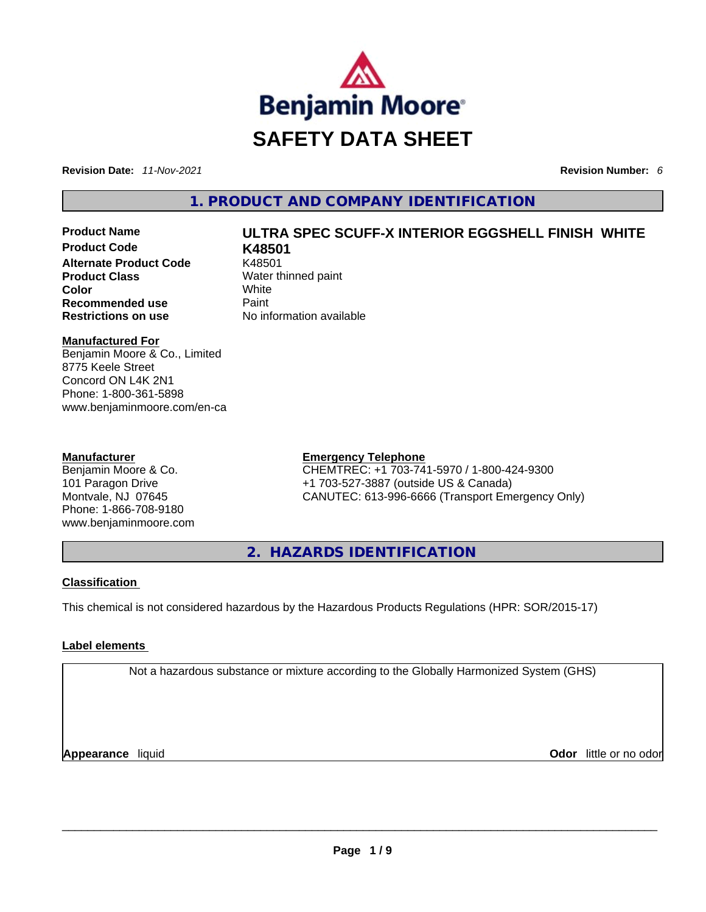

**Revision Date:** *11-Nov-2021* **Revision Number:** *6*

### **1. PRODUCT AND COMPANY IDENTIFICATION**

**Product Code K48501 Alternate Product Code** K48501 **Product Class Water thinned paint Color** White **Recommended use Paint Restrictions on use** No information available

## **Product Name ULTRA SPEC SCUFF-X INTERIOR EGGSHELL FINISH WHITE**

#### **Manufactured For**

Benjamin Moore & Co., Limited 8775 Keele Street Concord ON L4K 2N1 Phone: 1-800-361-5898 www.benjaminmoore.com/en-ca

#### **Manufacturer**

Benjamin Moore & Co. 101 Paragon Drive Montvale, NJ 07645 Phone: 1-866-708-9180 www.benjaminmoore.com

#### **Emergency Telephone**

CHEMTREC: +1 703-741-5970 / 1-800-424-9300 +1 703-527-3887 (outside US & Canada) CANUTEC: 613-996-6666 (Transport Emergency Only)

**2. HAZARDS IDENTIFICATION** 

#### **Classification**

This chemical is not considered hazardous by the Hazardous Products Regulations (HPR: SOR/2015-17)

#### **Label elements**

Not a hazardous substance or mixture according to the Globally Harmonized System (GHS)

**Appearance** liquid **Odor** little or no odor \_\_\_\_\_\_\_\_\_\_\_\_\_\_\_\_\_\_\_\_\_\_\_\_\_\_\_\_\_\_\_\_\_\_\_\_\_\_\_\_\_\_\_\_\_\_\_\_\_\_\_\_\_\_\_\_\_\_\_\_\_\_\_\_\_\_\_\_\_\_\_\_\_\_\_\_\_\_\_\_\_\_\_\_\_\_\_\_\_\_\_\_\_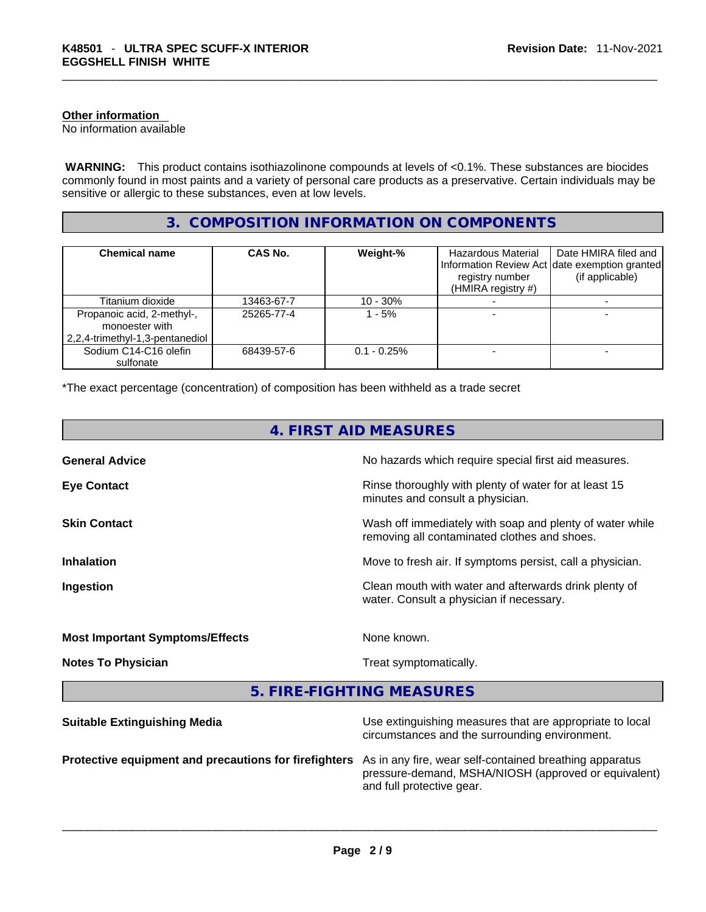#### **Other information**

No information available

**WARNING:** This product contains isothiazolinone compounds at levels of <0.1%. These substances are biocides commonly found in most paints and a variety of personal care products as a preservative. Certain individuals may be sensitive or allergic to these substances, even at low levels.

#### **3. COMPOSITION INFORMATION ON COMPONENTS**

| <b>Chemical name</b>                                                            | CAS No.    | Weight-%       | Hazardous Material<br>registry number<br>(HMIRA registry #) | Date HMIRA filed and<br>Information Review Act Idate exemption granted<br>(if applicable) |
|---------------------------------------------------------------------------------|------------|----------------|-------------------------------------------------------------|-------------------------------------------------------------------------------------------|
| Titanium dioxide                                                                | 13463-67-7 | $10 - 30%$     |                                                             |                                                                                           |
| Propanoic acid, 2-methyl-,<br>monoester with<br>2,2,4-trimethyl-1,3-pentanediol | 25265-77-4 | 1 - 5%         |                                                             |                                                                                           |
| Sodium C14-C16 olefin<br>sulfonate                                              | 68439-57-6 | $0.1 - 0.25\%$ |                                                             |                                                                                           |

\*The exact percentage (concentration) of composition has been withheld as a trade secret

| 4. FIRST AID MEASURES                  |                                                                                                            |  |
|----------------------------------------|------------------------------------------------------------------------------------------------------------|--|
| <b>General Advice</b>                  | No hazards which require special first aid measures.                                                       |  |
| <b>Eye Contact</b>                     | Rinse thoroughly with plenty of water for at least 15<br>minutes and consult a physician.                  |  |
| <b>Skin Contact</b>                    | Wash off immediately with soap and plenty of water while<br>removing all contaminated clothes and shoes.   |  |
| <b>Inhalation</b>                      | Move to fresh air. If symptoms persist, call a physician.                                                  |  |
| Ingestion                              | Clean mouth with water and afterwards drink plenty of<br>water. Consult a physician if necessary.          |  |
| <b>Most Important Symptoms/Effects</b> | None known.                                                                                                |  |
| <b>Notes To Physician</b>              | Treat symptomatically.                                                                                     |  |
|                                        | 5. FIRE-FIGHTING MEASURES                                                                                  |  |
| <b>Suitable Extinguishing Media</b>    | Use extinguishing measures that are appropriate to local<br>circumstances and the surrounding environment. |  |

**Protective equipment and precautions for firefighters** As in any fire, wear self-contained breathing apparatus

pressure-demand, MSHA/NIOSH (approved or equivalent) and full protective gear. \_\_\_\_\_\_\_\_\_\_\_\_\_\_\_\_\_\_\_\_\_\_\_\_\_\_\_\_\_\_\_\_\_\_\_\_\_\_\_\_\_\_\_\_\_\_\_\_\_\_\_\_\_\_\_\_\_\_\_\_\_\_\_\_\_\_\_\_\_\_\_\_\_\_\_\_\_\_\_\_\_\_\_\_\_\_\_\_\_\_\_\_\_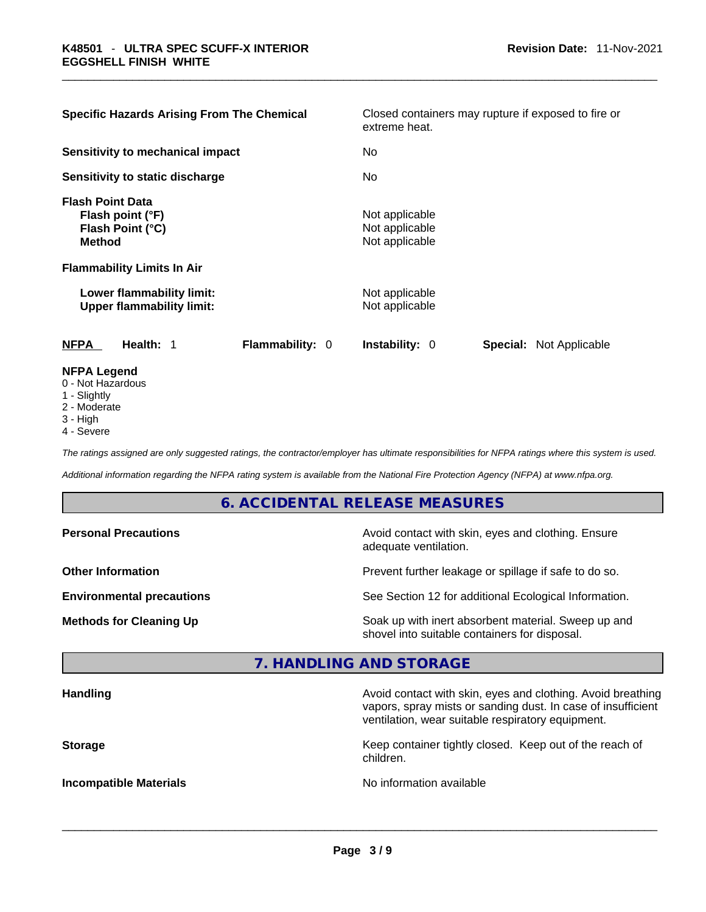| <b>Specific Hazards Arising From The Chemical</b>                                                  |                        | Closed containers may rupture if exposed to fire or<br>extreme heat. |                                |  |  |  |
|----------------------------------------------------------------------------------------------------|------------------------|----------------------------------------------------------------------|--------------------------------|--|--|--|
| <b>Sensitivity to mechanical impact</b>                                                            |                        | No                                                                   |                                |  |  |  |
| Sensitivity to static discharge                                                                    |                        | No.                                                                  |                                |  |  |  |
| <b>Flash Point Data</b><br>Flash point (°F)<br>Flash Point (°C)<br><b>Method</b>                   |                        | Not applicable<br>Not applicable<br>Not applicable                   |                                |  |  |  |
| <b>Flammability Limits In Air</b><br>Lower flammability limit:<br><b>Upper flammability limit:</b> |                        | Not applicable<br>Not applicable                                     |                                |  |  |  |
| <b>NFPA</b><br>Health: 1                                                                           | <b>Flammability: 0</b> | <b>Instability: 0</b>                                                | <b>Special: Not Applicable</b> |  |  |  |
| <b>NFPA Legend</b><br>0 - Not Hazardous<br>1 - Slightly                                            |                        |                                                                      |                                |  |  |  |

- 2 Moderate
- 3 High
- 4 Severe

*The ratings assigned are only suggested ratings, the contractor/employer has ultimate responsibilities for NFPA ratings where this system is used.* 

*Additional information regarding the NFPA rating system is available from the National Fire Protection Agency (NFPA) at www.nfpa.org.* 

#### **6. ACCIDENTAL RELEASE MEASURES**

| <b>Personal Precautions</b>      | Avoid contact with skin, eyes and clothing. Ensure<br>adequate ventilation.                          |
|----------------------------------|------------------------------------------------------------------------------------------------------|
| <b>Other Information</b>         | Prevent further leakage or spillage if safe to do so.                                                |
| <b>Environmental precautions</b> | See Section 12 for additional Ecological Information.                                                |
| <b>Methods for Cleaning Up</b>   | Soak up with inert absorbent material. Sweep up and<br>shovel into suitable containers for disposal. |

## **7. HANDLING AND STORAGE**

| <b>Handling</b>               | Avoid contact with skin, eyes and clothing. Avoid breathing<br>vapors, spray mists or sanding dust. In case of insufficient<br>ventilation, wear suitable respiratory equipment. |
|-------------------------------|----------------------------------------------------------------------------------------------------------------------------------------------------------------------------------|
| <b>Storage</b>                | Keep container tightly closed. Keep out of the reach of<br>children.                                                                                                             |
| <b>Incompatible Materials</b> | No information available                                                                                                                                                         |

 $\_$  ,  $\_$  ,  $\_$  ,  $\_$  ,  $\_$  ,  $\_$  ,  $\_$  ,  $\_$  ,  $\_$  ,  $\_$  ,  $\_$  ,  $\_$  ,  $\_$  ,  $\_$  ,  $\_$  ,  $\_$  ,  $\_$  ,  $\_$  ,  $\_$  ,  $\_$  ,  $\_$  ,  $\_$  ,  $\_$  ,  $\_$  ,  $\_$  ,  $\_$  ,  $\_$  ,  $\_$  ,  $\_$  ,  $\_$  ,  $\_$  ,  $\_$  ,  $\_$  ,  $\_$  ,  $\_$  ,  $\_$  ,  $\_$  ,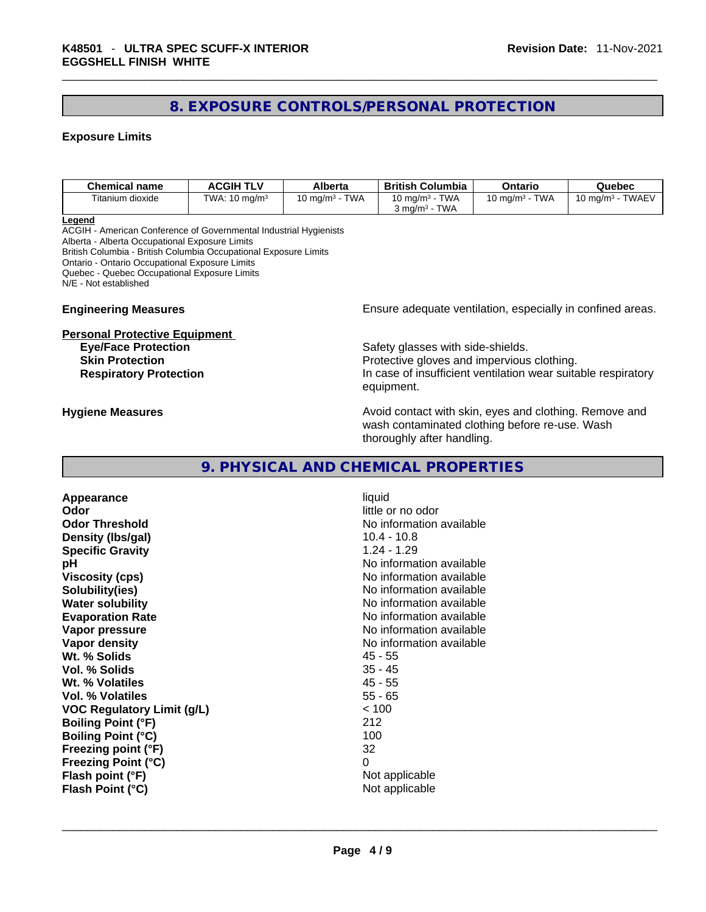#### **8. EXPOSURE CONTROLS/PERSONAL PROTECTION**

#### **Exposure Limits**

| Chemical name    | <b>ACGIH TLV</b>         | Alberta                            | <b>British Columbia</b>                                            | Ontario                          | Quebec                                   |
|------------------|--------------------------|------------------------------------|--------------------------------------------------------------------|----------------------------------|------------------------------------------|
| Titanium dioxide | TWA: $10 \text{ mg/m}^3$ | <b>TWA</b><br>10 ma/m $^{\rm 3}$ . | <b>TWA</b><br>10 mg/m <sup>3</sup> -<br>TWA<br>ma/m <sup>3</sup> د | <b>TWA</b><br>10 ma/m $^{\rm 3}$ | <b>TWAEV</b><br>10 mg/m <sup>3</sup> - . |

**Legend**

ACGIH - American Conference of Governmental Industrial Hygienists Alberta - Alberta Occupational Exposure Limits British Columbia - British Columbia Occupational Exposure Limits Ontario - Ontario Occupational Exposure Limits Quebec - Quebec Occupational Exposure Limits N/E - Not established

#### **Personal Protective Equipment**

**Engineering Measures Ensure** Ensure adequate ventilation, especially in confined areas.

**Eye/Face Protection** Safety glasses with side-shields. **Skin Protection Protection Protective gloves and impervious clothing. Respiratory Protection In case of insufficient ventilation wear suitable respiratory** equipment.

**Hygiene Measures Avoid contact with skin, eyes and clothing. Remove and Avoid contact with skin, eyes and clothing. Remove and** wash contaminated clothing before re-use. Wash thoroughly after handling.

#### **9. PHYSICAL AND CHEMICAL PROPERTIES**

**Appearance** liquid **Odor Odor Odor little or no odor Odor Threshold**<br> **Density (Ibs/gal)**<br> **Density (Ibs/gal)**<br> **No information available**<br>
10.4 - 10.8 **Density** (Ibs/gal) **Specific Gravity** 1.24 - 1.29 **pH pH 1 Viscosity (cps) Viscosity (cps) No information available Solubility(ies)** No information available **Water solubility Water solubility No information available Evaporation Rate No information available No information available Vapor pressure No information available No information available Vapor density**<br> **We Solids**<br>
We Solids
2018 Wt. % Solids **Vol. % Solids** 35 - 45 **Wt. % Volatiles** 45 - 55 **Vol. % Volatiles VOC Regulatory Limit (g/L)** < 100 **Boiling Point (°F)** 212 **Boiling Point (°C)** 100 **Freezing point (°F)** 32 **Freezing Point (°C)** 0 **Flash point (°F)** Not applicable

**Flash Point (°C)**  $\qquad \qquad$  Not applicable  $\qquad \qquad$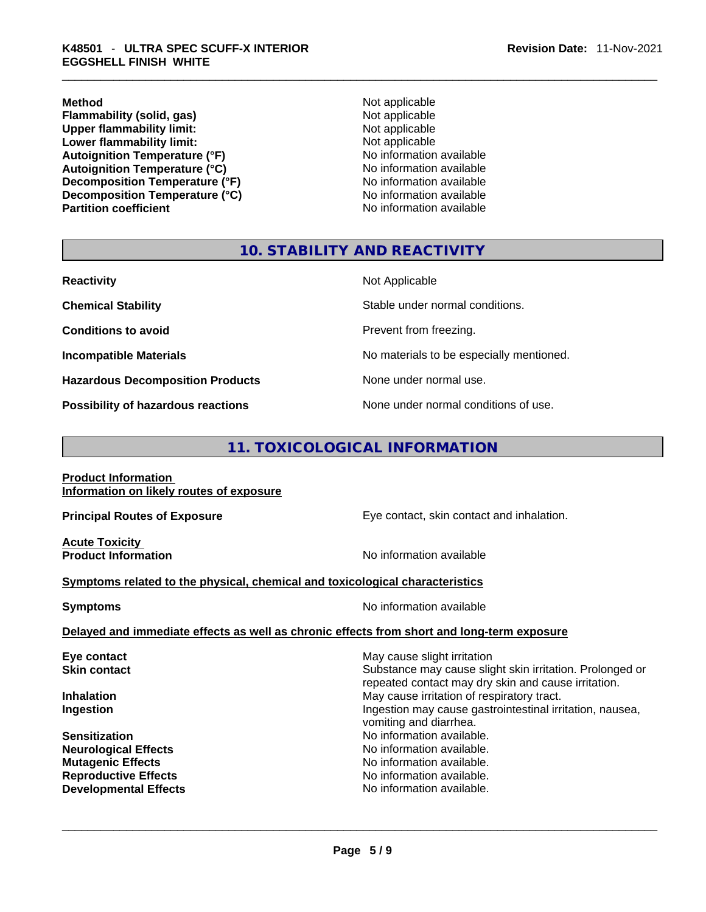**Method**<br> **Plammability (solid, gas)**<br> **Not applicable**<br>
Not applicable **Flammability (solid, gas)**<br> **Upper flammability limit:** Not applicable Not applicable **Upper flammability limit: Lower flammability limit:** Not applicable **Autoignition Temperature (°F)** No information available **Autoignition Temperature (°C)** No information available **Decomposition Temperature (°F)** No information available **Decomposition Temperature (°C)**<br> **Partition coefficient**<br> **Partition coefficient**<br> **No** information available

**No information available** 

#### **10. STABILITY AND REACTIVITY**

| <b>Reactivity</b>                         | Not Applicable                           |
|-------------------------------------------|------------------------------------------|
| <b>Chemical Stability</b>                 | Stable under normal conditions.          |
| <b>Conditions to avoid</b>                | Prevent from freezing.                   |
| <b>Incompatible Materials</b>             | No materials to be especially mentioned. |
| <b>Hazardous Decomposition Products</b>   | None under normal use.                   |
| <b>Possibility of hazardous reactions</b> | None under normal conditions of use.     |

#### **11. TOXICOLOGICAL INFORMATION**

| <b>Product Information</b>               |  |
|------------------------------------------|--|
| Information on likely routes of exposure |  |

**Acute Toxicity** 

**Principal Routes of Exposure Exposure** Eye contact, skin contact and inhalation.

**Product Information Information No information available** 

#### **<u>Symptoms related to the physical, chemical and toxicological characteristics</u>**

| <b>Symptoms</b> | No information available                                                                   |  |  |
|-----------------|--------------------------------------------------------------------------------------------|--|--|
|                 | Delayed and immediate effects as well as chronic effects from short and long-term exposure |  |  |

## **Eye contact Exercise Solution May cause slight irritation Skin contact Substance may cause slight skin irritation. Prolonged or** Substance may cause slight skin irritation. Prolonged or repeated contact may dry skin and cause irritation. **Inhalation Inhalation Inhalation May cause irritation of respiratory tract. Ingestion Ingestion Ingestion may cause gastrointestinal irritation, nausea,** vomiting and diarrhea. **Sensitization No information available. No information available. Neurological Effects** No information available. **Mutagenic Effects No information available. Reproductive Effects No information available.** No information available. **Developmental Effects** No information available. \_\_\_\_\_\_\_\_\_\_\_\_\_\_\_\_\_\_\_\_\_\_\_\_\_\_\_\_\_\_\_\_\_\_\_\_\_\_\_\_\_\_\_\_\_\_\_\_\_\_\_\_\_\_\_\_\_\_\_\_\_\_\_\_\_\_\_\_\_\_\_\_\_\_\_\_\_\_\_\_\_\_\_\_\_\_\_\_\_\_\_\_\_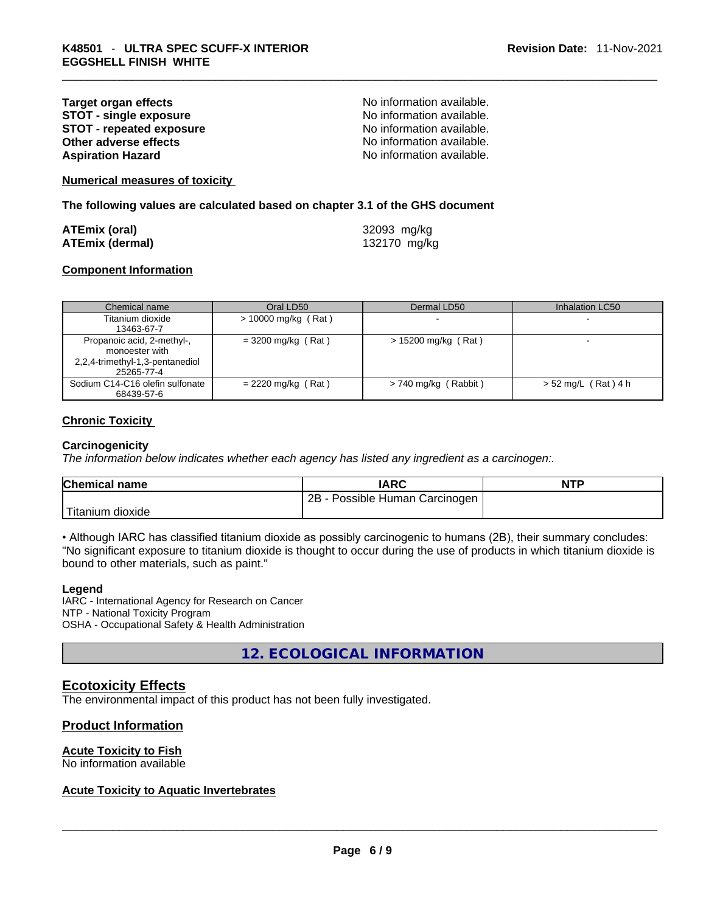#### **Target organ effects**<br> **STOT - single exposure**<br>
STOT - single exposure<br>
No information available. **STOT - single exposure**<br> **STOT - repeated exposure**<br> **STOT - repeated exposure**<br> **No information available. STOT** - repeated exposure **Other adverse effects No information available.** No information available. **Aspiration Hazard**  No information available.

**Numerical measures of toxicity**

**The following values are calculated based on chapter 3.1 of the GHS document**

| ATEmix (oral)          | 32093 mg/kg  |
|------------------------|--------------|
| <b>ATEmix (dermal)</b> | 132170 mg/kg |

#### **Component Information**

| Chemical name                   | Oral LD50             | Dermal LD50            | Inhalation LC50       |
|---------------------------------|-----------------------|------------------------|-----------------------|
| Titanium dioxide                | $> 10000$ mg/kg (Rat) |                        |                       |
| 13463-67-7                      |                       |                        |                       |
| Propanoic acid, 2-methyl-,      | $=$ 3200 mg/kg (Rat)  | $> 15200$ mg/kg (Rat)  |                       |
| monoester with                  |                       |                        |                       |
| 2,2,4-trimethyl-1,3-pentanediol |                       |                        |                       |
| 25265-77-4                      |                       |                        |                       |
| Sodium C14-C16 olefin sulfonate | $= 2220$ mg/kg (Rat)  | $> 740$ mg/kg (Rabbit) | $> 52$ mg/L (Rat) 4 h |
| 68439-57-6                      |                       |                        |                       |

#### **Chronic Toxicity**

#### **Carcinogenicity**

*The information below indicates whether each agency has listed any ingredient as a carcinogen:.* 

| <b>Chemical name</b>          | <b>IARC</b>                           | <b>NTP</b> |
|-------------------------------|---------------------------------------|------------|
|                               | $2B -$<br>- Possible Human Carcinogen |            |
| <sup>1</sup> Titanium dioxide |                                       |            |

• Although IARC has classified titanium dioxide as possibly carcinogenic to humans (2B), their summary concludes: "No significant exposure to titanium dioxide is thought to occur during the use of products in which titanium dioxide is bound to other materials, such as paint."

#### **Legend**

IARC - International Agency for Research on Cancer NTP - National Toxicity Program OSHA - Occupational Safety & Health Administration

**12. ECOLOGICAL INFORMATION** 

#### **Ecotoxicity Effects**

The environmental impact of this product has not been fully investigated.

#### **Product Information**

#### **Acute Toxicity to Fish**

# No information available \_\_\_\_\_\_\_\_\_\_\_\_\_\_\_\_\_\_\_\_\_\_\_\_\_\_\_\_\_\_\_\_\_\_\_\_\_\_\_\_\_\_\_\_\_\_\_\_\_\_\_\_\_\_\_\_\_\_\_\_\_\_\_\_\_\_\_\_\_\_\_\_\_\_\_\_\_\_\_\_\_\_\_\_\_\_\_\_\_\_\_\_\_ **Acute Toxicity to Aquatic Invertebrates**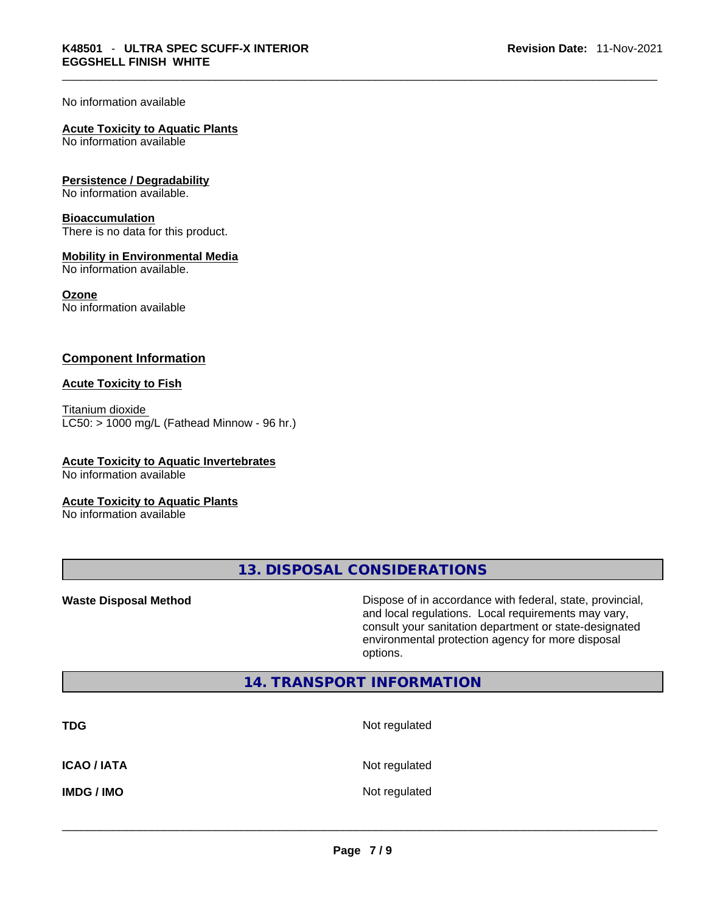No information available

#### **Acute Toxicity to Aquatic Plants**

No information available

#### **Persistence / Degradability**

No information available.

#### **Bioaccumulation**

There is no data for this product.

#### **Mobility in Environmental Media**

No information available.

#### **Ozone**

No information available

#### **Component Information**

#### **Acute Toxicity to Fish**

Titanium dioxide  $LC50:$  > 1000 mg/L (Fathead Minnow - 96 hr.)

#### **Acute Toxicity to Aquatic Invertebrates**

No information available

#### **Acute Toxicity to Aquatic Plants**

No information available

**13. DISPOSAL CONSIDERATIONS** 

**Waste Disposal Method** Dispose of in accordance with federal, state, provincial, and local regulations. Local requirements may vary, consult your sanitation department or state-designated environmental protection agency for more disposal options.

#### **14. TRANSPORT INFORMATION**

| <b>TDG</b>         | Not regulated |
|--------------------|---------------|
| <b>ICAO / IATA</b> | Not regulated |
| <b>IMDG/IMO</b>    | Not regulated |
|                    |               |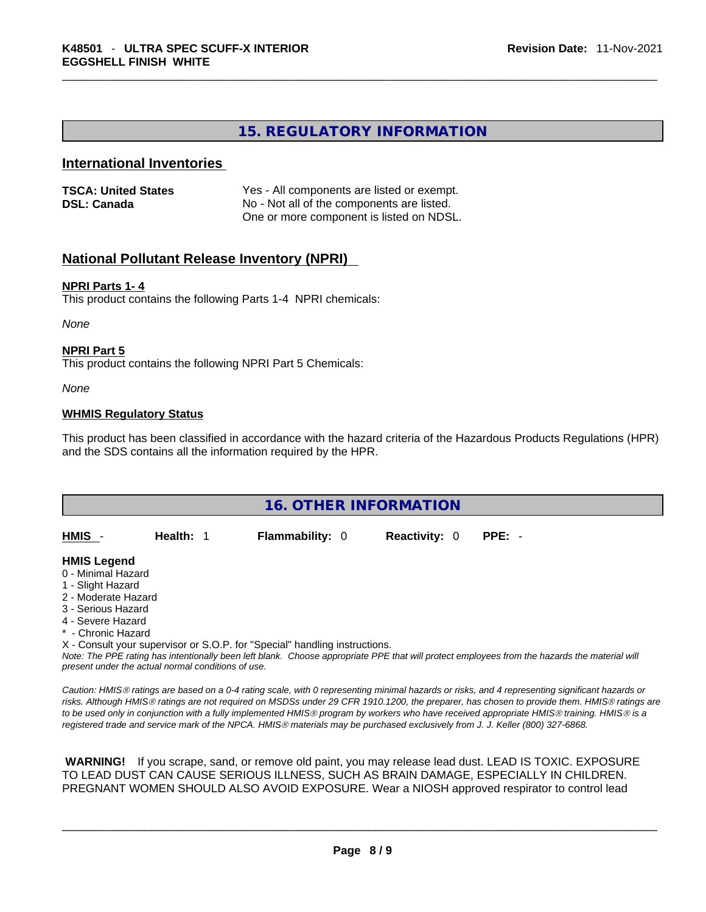#### **15. REGULATORY INFORMATION**

#### **International Inventories**

| <b>TSCA: United States</b> | Yes - All components are listed or exempt. |
|----------------------------|--------------------------------------------|
| <b>DSL: Canada</b>         | No - Not all of the components are listed. |
|                            | One or more component is listed on NDSL.   |

#### **National Pollutant Release Inventory (NPRI)**

#### **NPRI Parts 1- 4**

This product contains the following Parts 1-4 NPRI chemicals:

*None*

#### **NPRI Part 5**

This product contains the following NPRI Part 5 Chemicals:

*None*

#### **WHMIS Regulatory Status**

This product has been classified in accordance with the hazard criteria of the Hazardous Products Regulations (HPR) and the SDS contains all the information required by the HPR.

| <b>16. OTHER INFORMATION</b> |           |                                                                            |                      |                                                                                                                                               |  |
|------------------------------|-----------|----------------------------------------------------------------------------|----------------------|-----------------------------------------------------------------------------------------------------------------------------------------------|--|
|                              |           |                                                                            |                      |                                                                                                                                               |  |
| HMIS -                       | Health: 1 | <b>Flammability: 0</b>                                                     | <b>Reactivity: 0</b> | $PPE: -$                                                                                                                                      |  |
| <b>HMIS Legend</b>           |           |                                                                            |                      |                                                                                                                                               |  |
| 0 - Minimal Hazard           |           |                                                                            |                      |                                                                                                                                               |  |
| 1 - Slight Hazard            |           |                                                                            |                      |                                                                                                                                               |  |
| 2 - Moderate Hazard          |           |                                                                            |                      |                                                                                                                                               |  |
| 3 - Serious Hazard           |           |                                                                            |                      |                                                                                                                                               |  |
| 4 - Severe Hazard            |           |                                                                            |                      |                                                                                                                                               |  |
| * - Chronic Hazard           |           |                                                                            |                      |                                                                                                                                               |  |
|                              |           | X - Consult your supervisor or S.O.P. for "Special" handling instructions. |                      |                                                                                                                                               |  |
|                              |           |                                                                            |                      | Note: The PPE rating has intentionally been left blank. Choose appropriate PPE that will protect employees from the hazards the material will |  |

*present under the actual normal conditions of use.* 

*Caution: HMISÒ ratings are based on a 0-4 rating scale, with 0 representing minimal hazards or risks, and 4 representing significant hazards or risks. Although HMISÒ ratings are not required on MSDSs under 29 CFR 1910.1200, the preparer, has chosen to provide them. HMISÒ ratings are to be used only in conjunction with a fully implemented HMISÒ program by workers who have received appropriate HMISÒ training. HMISÒ is a registered trade and service mark of the NPCA. HMISÒ materials may be purchased exclusively from J. J. Keller (800) 327-6868.* 

 **WARNING!** If you scrape, sand, or remove old paint, you may release lead dust. LEAD IS TOXIC. EXPOSURE TO LEAD DUST CAN CAUSE SERIOUS ILLNESS, SUCH AS BRAIN DAMAGE, ESPECIALLY IN CHILDREN. PREGNANT WOMEN SHOULD ALSO AVOID EXPOSURE.Wear a NIOSH approved respirator to control lead

 $\_$  ,  $\_$  ,  $\_$  ,  $\_$  ,  $\_$  ,  $\_$  ,  $\_$  ,  $\_$  ,  $\_$  ,  $\_$  ,  $\_$  ,  $\_$  ,  $\_$  ,  $\_$  ,  $\_$  ,  $\_$  ,  $\_$  ,  $\_$  ,  $\_$  ,  $\_$  ,  $\_$  ,  $\_$  ,  $\_$  ,  $\_$  ,  $\_$  ,  $\_$  ,  $\_$  ,  $\_$  ,  $\_$  ,  $\_$  ,  $\_$  ,  $\_$  ,  $\_$  ,  $\_$  ,  $\_$  ,  $\_$  ,  $\_$  ,